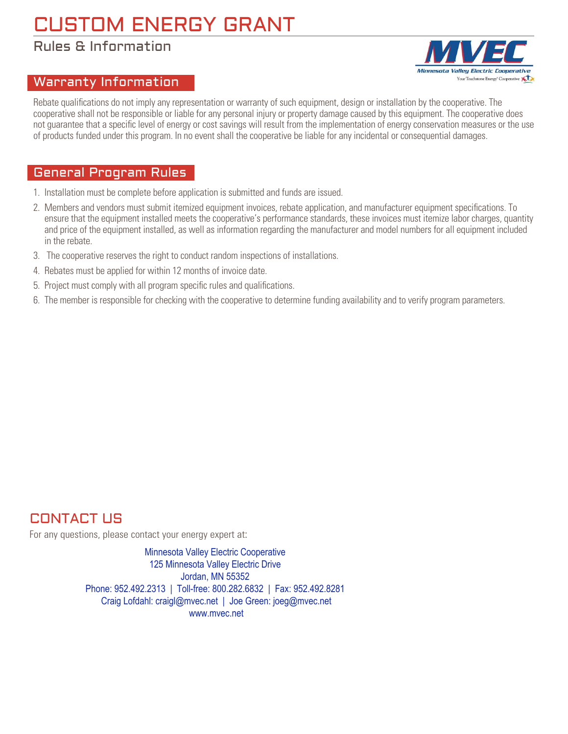# CUSTOM ENERGY GRANT

## Rules & Information

#### Warranty Information

Rebate qualifications do not imply any representation or warranty of such equipment, design or installation by the cooperative. The cooperative shall not be responsible or liable for any personal injury or property damage caused by this equipment. The cooperative does not guarantee that a specific level of energy or cost savings will result from the implementation of energy conservation measures or the use of products funded under this program. In no event shall the cooperative be liable for any incidental or consequential damages.

#### General Program Rules

- 1. Installation must be complete before application is submitted and funds are issued.
- 2. Members and vendors must submit itemized equipment invoices, rebate application, and manufacturer equipment specifications. To ensure that the equipment installed meets the cooperative's performance standards, these invoices must itemize labor charges, quantity and price of the equipment installed, as well as information regarding the manufacturer and model numbers for all equipment included in the rebate.
- 3. The cooperative reserves the right to conduct random inspections of installations.
- 4. Rebates must be applied for within 12 months of invoice date.
- 5. Project must comply with all program specific rules and qualifications.
- 6. The member is responsible for checking with the cooperative to determine funding availability and to verify program parameters.

### CONTACT US

For any questions, please contact your energy expert at:

Minnesota Valley Electric Cooperative 125 Minnesota Valley Electric Drive Jordan, MN 55352 Phone: 952.492.2313 | Toll-free: 800.282.6832 | Fax: 952.492.8281 Craig Lofdahl: craigl@mvec.net | Joe Green: joeg@mvec.net www.mvec.net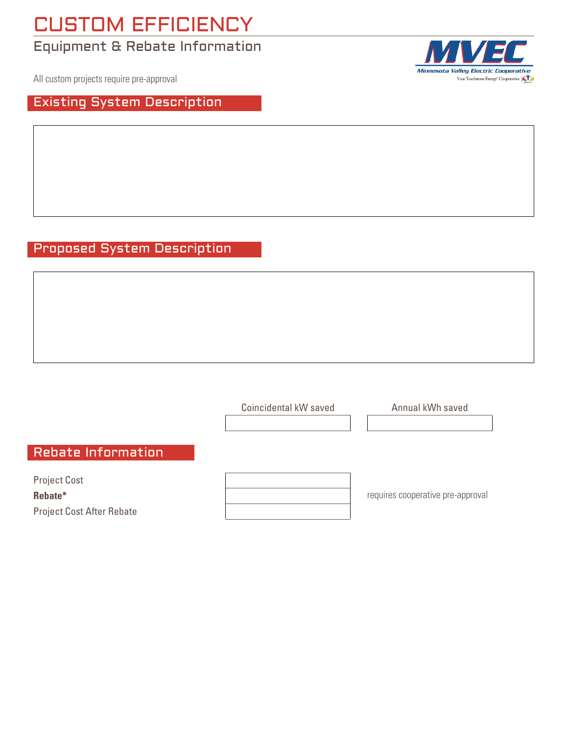# CUSTOM EFFICIENCY

# Equipment & Rebate Information

All custom projects require pre-approval

### Existing System Description

Minnesota Valley Electric Cooperative Your Touchstone Energy<sup>®</sup> Cooperative

### Proposed System Description

Project Cost **Rebate\*** Project Cost After Rebate Rebate Information requires cooperative pre-approval Coincidental kW saved **Annual kWh** saved